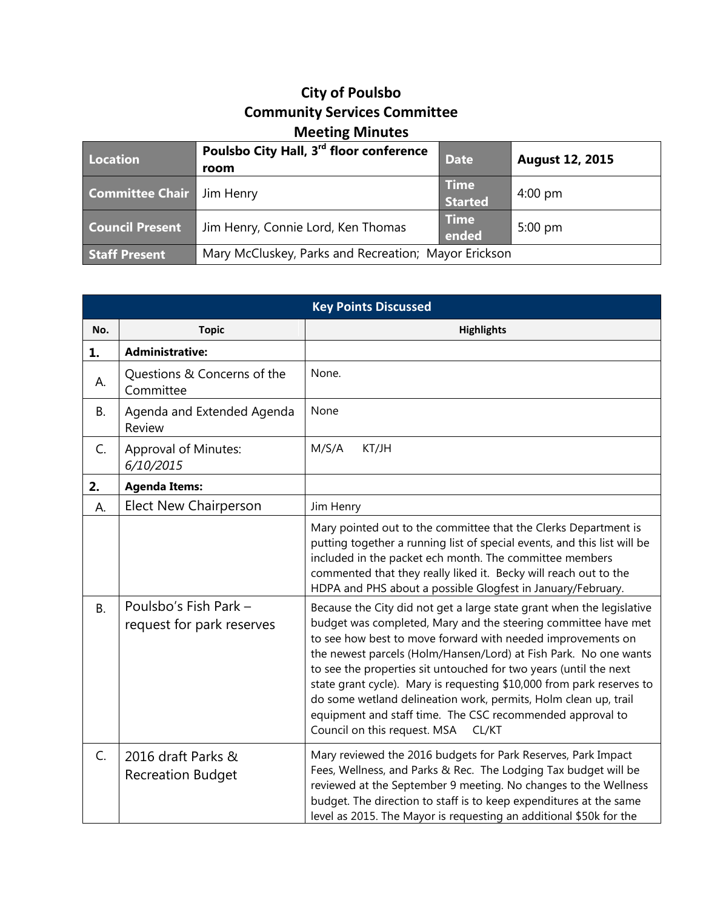## **City of Poulsbo Community Services Committee Meeting Minutes**

| Location               | Poulsbo City Hall, 3rd floor conference<br>room      | <b>Date</b>                   | <b>August 12, 2015</b> |
|------------------------|------------------------------------------------------|-------------------------------|------------------------|
| <b>Committee Chair</b> | Jim Henry                                            | <b>Time</b><br><b>Started</b> | $4:00 \text{ pm}$      |
| <b>Council Present</b> | Jim Henry, Connie Lord, Ken Thomas                   | <b>Time</b><br>ended          | $5:00 \text{ pm}$      |
| <b>Staff Present</b>   | Mary McCluskey, Parks and Recreation; Mayor Erickson |                               |                        |

| <b>Key Points Discussed</b> |                                                    |                                                                                                                                                                                                                                                                                                                                                                                                                                                                                                                                                                                                   |  |
|-----------------------------|----------------------------------------------------|---------------------------------------------------------------------------------------------------------------------------------------------------------------------------------------------------------------------------------------------------------------------------------------------------------------------------------------------------------------------------------------------------------------------------------------------------------------------------------------------------------------------------------------------------------------------------------------------------|--|
| No.                         | <b>Topic</b>                                       | <b>Highlights</b>                                                                                                                                                                                                                                                                                                                                                                                                                                                                                                                                                                                 |  |
| 1.                          | <b>Administrative:</b>                             |                                                                                                                                                                                                                                                                                                                                                                                                                                                                                                                                                                                                   |  |
| А.                          | Questions & Concerns of the<br>Committee           | None.                                                                                                                                                                                                                                                                                                                                                                                                                                                                                                                                                                                             |  |
| <b>B.</b>                   | Agenda and Extended Agenda<br>Review               | None                                                                                                                                                                                                                                                                                                                                                                                                                                                                                                                                                                                              |  |
| C.                          | <b>Approval of Minutes:</b><br>6/10/2015           | M/S/A<br>KT/JH                                                                                                                                                                                                                                                                                                                                                                                                                                                                                                                                                                                    |  |
| 2.                          | <b>Agenda Items:</b>                               |                                                                                                                                                                                                                                                                                                                                                                                                                                                                                                                                                                                                   |  |
| А.                          | <b>Elect New Chairperson</b>                       | Jim Henry                                                                                                                                                                                                                                                                                                                                                                                                                                                                                                                                                                                         |  |
|                             |                                                    | Mary pointed out to the committee that the Clerks Department is<br>putting together a running list of special events, and this list will be<br>included in the packet ech month. The committee members<br>commented that they really liked it. Becky will reach out to the<br>HDPA and PHS about a possible Glogfest in January/February.                                                                                                                                                                                                                                                         |  |
| <b>B.</b>                   | Poulsbo's Fish Park -<br>request for park reserves | Because the City did not get a large state grant when the legislative<br>budget was completed, Mary and the steering committee have met<br>to see how best to move forward with needed improvements on<br>the newest parcels (Holm/Hansen/Lord) at Fish Park. No one wants<br>to see the properties sit untouched for two years (until the next<br>state grant cycle). Mary is requesting \$10,000 from park reserves to<br>do some wetland delineation work, permits, Holm clean up, trail<br>equipment and staff time. The CSC recommended approval to<br>Council on this request. MSA<br>CL/KT |  |
| $C_{1}$                     | 2016 draft Parks &<br><b>Recreation Budget</b>     | Mary reviewed the 2016 budgets for Park Reserves, Park Impact<br>Fees, Wellness, and Parks & Rec. The Lodging Tax budget will be<br>reviewed at the September 9 meeting. No changes to the Wellness<br>budget. The direction to staff is to keep expenditures at the same<br>level as 2015. The Mayor is requesting an additional \$50k for the                                                                                                                                                                                                                                                   |  |